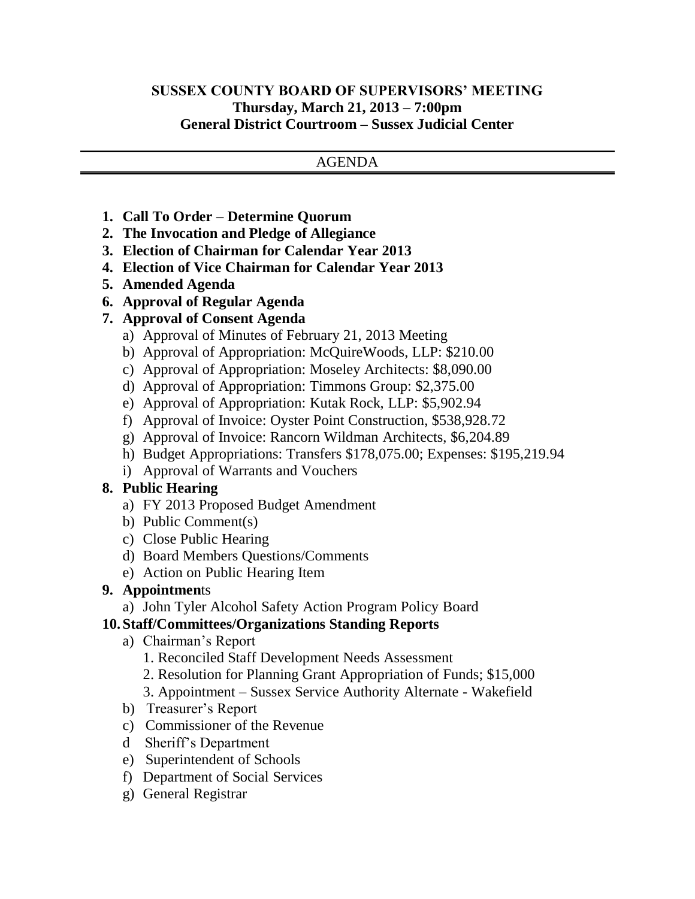### **SUSSEX COUNTY BOARD OF SUPERVISORS' MEETING Thursday, March 21, 2013 – 7:00pm General District Courtroom – Sussex Judicial Center**

#### AGENDA

- **1. Call To Order – Determine Quorum**
- **2. The Invocation and Pledge of Allegiance**
- **3. Election of Chairman for Calendar Year 2013**
- **4. Election of Vice Chairman for Calendar Year 2013**
- **5. Amended Agenda**
- **6. Approval of Regular Agenda**
- **7. Approval of Consent Agenda**
	- a) Approval of Minutes of February 21, 2013 Meeting
	- b) Approval of Appropriation: McQuireWoods, LLP: \$210.00
	- c) Approval of Appropriation: Moseley Architects: \$8,090.00
	- d) Approval of Appropriation: Timmons Group: \$2,375.00
	- e) Approval of Appropriation: Kutak Rock, LLP: \$5,902.94
	- f) Approval of Invoice: Oyster Point Construction, \$538,928.72
	- g) Approval of Invoice: Rancorn Wildman Architects, \$6,204.89
	- h) Budget Appropriations: Transfers \$178,075.00; Expenses: \$195,219.94
	- i) Approval of Warrants and Vouchers

### **8. Public Hearing**

- a) FY 2013 Proposed Budget Amendment
- b) Public Comment(s)
- c) Close Public Hearing
- d) Board Members Questions/Comments
- e) Action on Public Hearing Item

### **9. Appointmen**ts

a) John Tyler Alcohol Safety Action Program Policy Board

### **10. Staff/Committees/Organizations Standing Reports**

- a) Chairman's Report
	- 1. Reconciled Staff Development Needs Assessment
	- 2. Resolution for Planning Grant Appropriation of Funds; \$15,000
	- 3. Appointment Sussex Service Authority Alternate Wakefield
- b) Treasurer's Report
- c) Commissioner of the Revenue
- d Sheriff's Department
- e) Superintendent of Schools
- f) Department of Social Services
- g) General Registrar